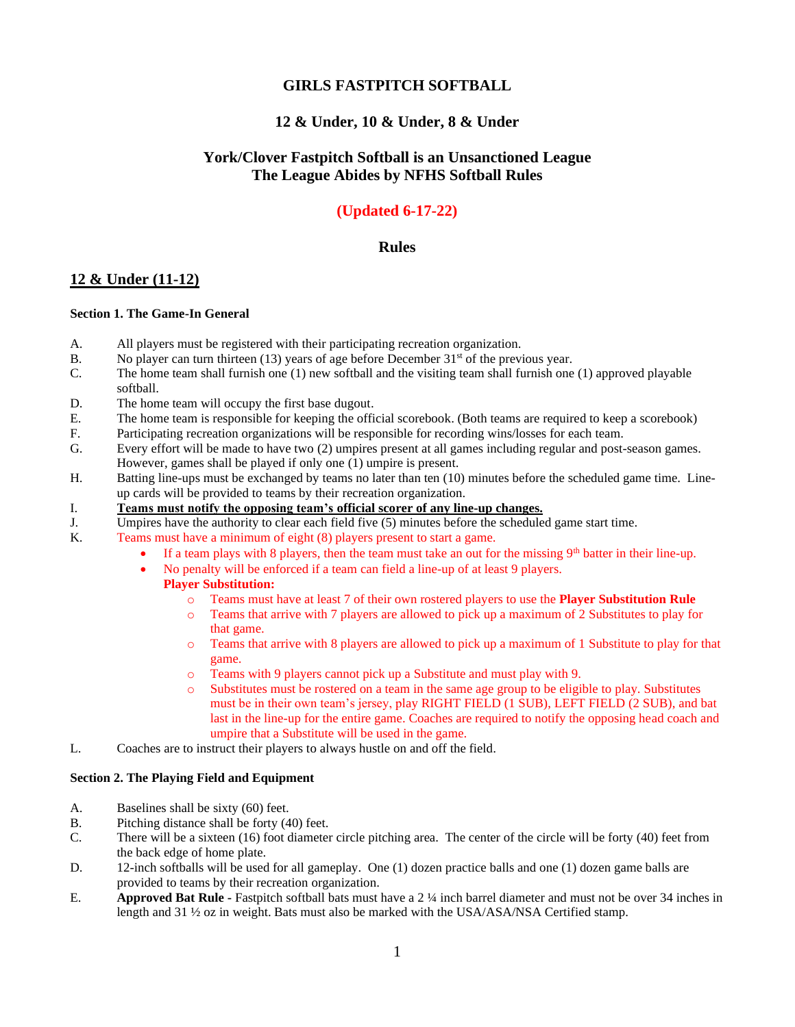## **GIRLS FASTPITCH SOFTBALL**

## **12 & Under, 10 & Under, 8 & Under**

## **York/Clover Fastpitch Softball is an Unsanctioned League The League Abides by NFHS Softball Rules**

# **(Updated 6-17-22)**

## **Rules**

## **12 & Under (11-12)**

### **Section 1. The Game-In General**

- A. All players must be registered with their participating recreation organization.
- B. No player can turn thirteen (13) years of age before December  $31<sup>st</sup>$  of the previous year.
- C. The home team shall furnish one (1) new softball and the visiting team shall furnish one (1) approved playable softball.
- D. The home team will occupy the first base dugout.
- E. The home team is responsible for keeping the official scorebook. (Both teams are required to keep a scorebook)
- F. Participating recreation organizations will be responsible for recording wins/losses for each team.
- G. Every effort will be made to have two (2) umpires present at all games including regular and post-season games. However, games shall be played if only one (1) umpire is present.
- H. Batting line-ups must be exchanged by teams no later than ten (10) minutes before the scheduled game time. Lineup cards will be provided to teams by their recreation organization.
- I. **Teams must notify the opposing team's official scorer of any line-up changes.**
- J. Umpires have the authority to clear each field five (5) minutes before the scheduled game start time.
- K. Teams must have a minimum of eight (8) players present to start a game.
	- If a team plays with 8 players, then the team must take an out for the missing  $9<sup>th</sup>$  batter in their line-up.
	- No penalty will be enforced if a team can field a line-up of at least 9 players.

### **Player Substitution:**

- o Teams must have at least 7 of their own rostered players to use the **Player Substitution Rule**
- o Teams that arrive with 7 players are allowed to pick up a maximum of 2 Substitutes to play for that game.
- o Teams that arrive with 8 players are allowed to pick up a maximum of 1 Substitute to play for that game.
- o Teams with 9 players cannot pick up a Substitute and must play with 9.
- o Substitutes must be rostered on a team in the same age group to be eligible to play. Substitutes must be in their own team's jersey, play RIGHT FIELD (1 SUB), LEFT FIELD (2 SUB), and bat last in the line-up for the entire game. Coaches are required to notify the opposing head coach and umpire that a Substitute will be used in the game.
- L. Coaches are to instruct their players to always hustle on and off the field.

### **Section 2. The Playing Field and Equipment**

- A. Baselines shall be sixty (60) feet.
- B. Pitching distance shall be forty (40) feet.
- C. There will be a sixteen (16) foot diameter circle pitching area. The center of the circle will be forty (40) feet from the back edge of home plate.
- D. 12-inch softballs will be used for all gameplay. One (1) dozen practice balls and one (1) dozen game balls are provided to teams by their recreation organization.
- E. **Approved Bat Rule -** Fastpitch softball bats must have a 2 ¼ inch barrel diameter and must not be over 34 inches in length and 31 ½ oz in weight. Bats must also be marked with the USA/ASA/NSA Certified stamp.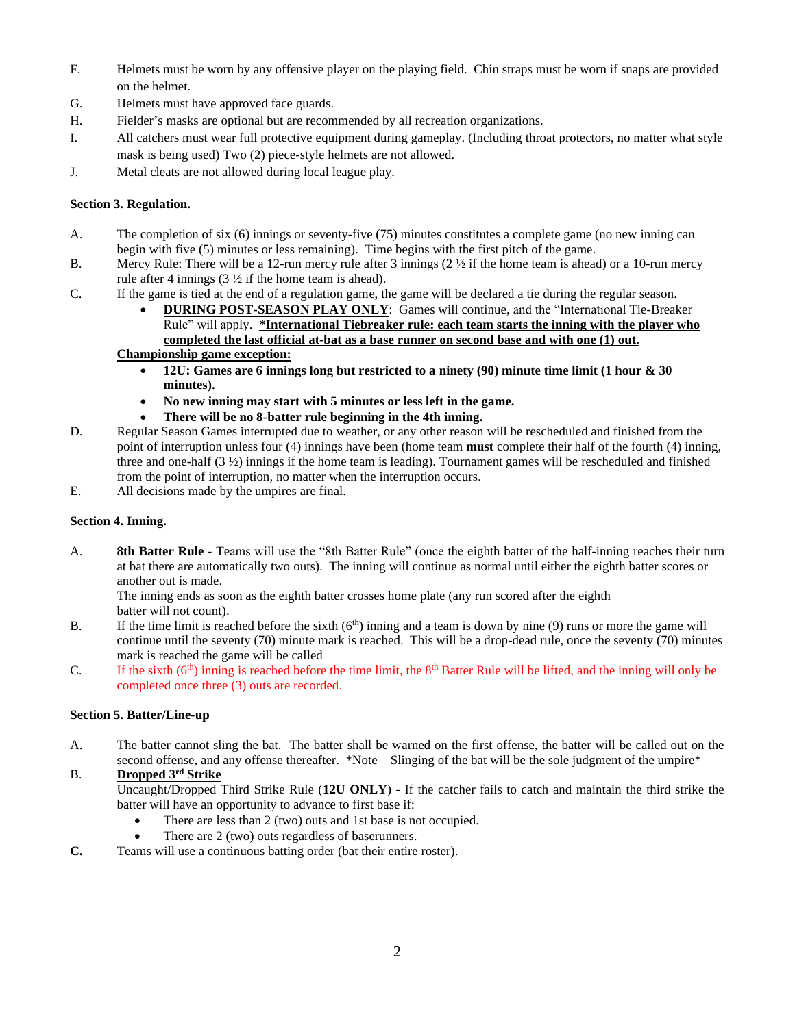- F. Helmets must be worn by any offensive player on the playing field. Chin straps must be worn if snaps are provided on the helmet.
- G. Helmets must have approved face guards.
- H. Fielder's masks are optional but are recommended by all recreation organizations.
- I. All catchers must wear full protective equipment during gameplay. (Including throat protectors, no matter what style mask is being used) Two (2) piece-style helmets are not allowed.
- J. Metal cleats are not allowed during local league play.

### **Section 3. Regulation.**

- A. The completion of six (6) innings or seventy-five (75) minutes constitutes a complete game (no new inning can begin with five (5) minutes or less remaining). Time begins with the first pitch of the game.
- B. Mercy Rule: There will be a 12-run mercy rule after 3 innings  $(2 \frac{1}{2})$  if the home team is ahead) or a 10-run mercy rule after 4 innings  $(3 \frac{1}{2})$  if the home team is ahead).
- C. If the game is tied at the end of a regulation game, the game will be declared a tie during the regular season.
	- **DURING POST-SEASON PLAY ONLY**: Games will continue, and the "International Tie-Breaker Rule" will apply. **\*International Tiebreaker rule: each team starts the inning with the player who completed the last official at-bat as a base runner on second base and with one (1) out.**

# **Championship game exception:**

- **12U: Games are 6 innings long but restricted to a ninety (90) minute time limit (1 hour & 30 minutes).**
- **No new inning may start with 5 minutes or less left in the game.**
- **There will be no 8-batter rule beginning in the 4th inning.**
- D. Regular Season Games interrupted due to weather, or any other reason will be rescheduled and finished from the point of interruption unless four (4) innings have been (home team **must** complete their half of the fourth (4) inning, three and one-half  $(3 \frac{1}{2})$  innings if the home team is leading). Tournament games will be rescheduled and finished from the point of interruption, no matter when the interruption occurs.
- E. All decisions made by the umpires are final.

### **Section 4. Inning.**

A. **8th Batter Rule** - Teams will use the "8th Batter Rule" (once the eighth batter of the half-inning reaches their turn at bat there are automatically two outs). The inning will continue as normal until either the eighth batter scores or another out is made.

The inning ends as soon as the eighth batter crosses home plate (any run scored after the eighth batter will not count).

- B. If the time limit is reached before the sixth  $(6<sup>th</sup>)$  inning and a team is down by nine (9) runs or more the game will continue until the seventy (70) minute mark is reached. This will be a drop-dead rule, once the seventy (70) minutes mark is reached the game will be called
- C. If the sixth  $(6<sup>th</sup>)$  inning is reached before the time limit, the  $8<sup>th</sup>$  Batter Rule will be lifted, and the inning will only be completed once three (3) outs are recorded.

### **Section 5. Batter/Line-up**

A. The batter cannot sling the bat. The batter shall be warned on the first offense, the batter will be called out on the second offense, and any offense thereafter. \*Note – Slinging of the bat will be the sole judgment of the umpire\*

### B. **Dropped 3rd Strike**

Uncaught/Dropped Third Strike Rule (**12U ONLY**) - If the catcher fails to catch and maintain the third strike the batter will have an opportunity to advance to first base if:

- There are less than 2 (two) outs and 1st base is not occupied.
- There are 2 (two) outs regardless of baserunners.
- **C.** Teams will use a continuous batting order (bat their entire roster).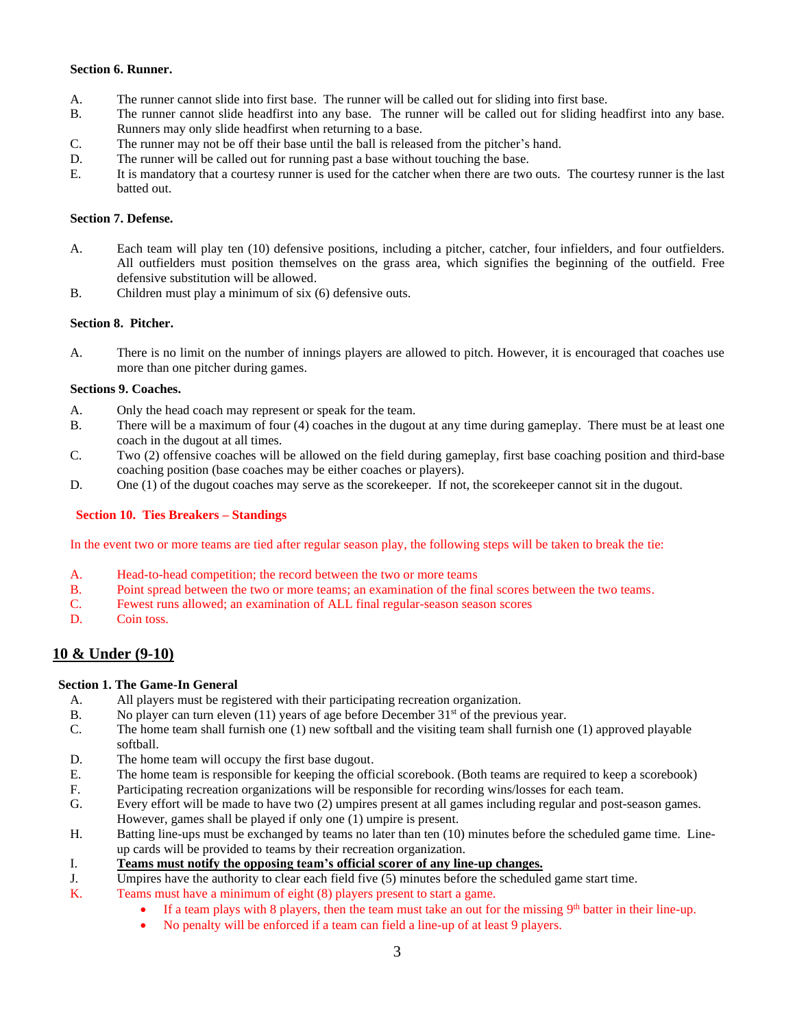#### **Section 6. Runner.**

- A. The runner cannot slide into first base. The runner will be called out for sliding into first base.
- B. The runner cannot slide headfirst into any base. The runner will be called out for sliding headfirst into any base. Runners may only slide headfirst when returning to a base.
- C. The runner may not be off their base until the ball is released from the pitcher's hand.
- D. The runner will be called out for running past a base without touching the base.
- E. It is mandatory that a courtesy runner is used for the catcher when there are two outs. The courtesy runner is the last batted out.

#### **Section 7. Defense.**

- A. Each team will play ten (10) defensive positions, including a pitcher, catcher, four infielders, and four outfielders. All outfielders must position themselves on the grass area, which signifies the beginning of the outfield. Free defensive substitution will be allowed.
- B. Children must play a minimum of six (6) defensive outs.

### **Section 8. Pitcher.**

A. There is no limit on the number of innings players are allowed to pitch. However, it is encouraged that coaches use more than one pitcher during games.

### **Sections 9. Coaches.**

- A. Only the head coach may represent or speak for the team.
- B. There will be a maximum of four (4) coaches in the dugout at any time during gameplay. There must be at least one coach in the dugout at all times.
- C. Two (2) offensive coaches will be allowed on the field during gameplay, first base coaching position and third-base coaching position (base coaches may be either coaches or players).
- D. One (1) of the dugout coaches may serve as the scorekeeper. If not, the scorekeeper cannot sit in the dugout.

#### **Section 10. Ties Breakers – Standings**

In the event two or more teams are tied after regular season play, the following steps will be taken to break the tie:

- A. Head-to-head competition; the record between the two or more teams
- B. Point spread between the two or more teams; an examination of the final scores between the two teams.
- C. Fewest runs allowed; an examination of ALL final regular-season season scores
- D. Coin toss.

## **10 & Under (9-10)**

### **Section 1. The Game-In General**

- A. All players must be registered with their participating recreation organization.
- B. No player can turn eleven  $(11)$  years of age before December  $31<sup>st</sup>$  of the previous year.
- C. The home team shall furnish one (1) new softball and the visiting team shall furnish one (1) approved playable softball.
- D. The home team will occupy the first base dugout.
- E. The home team is responsible for keeping the official scorebook. (Both teams are required to keep a scorebook)
- F. Participating recreation organizations will be responsible for recording wins/losses for each team.
- G. Every effort will be made to have two (2) umpires present at all games including regular and post-season games. However, games shall be played if only one (1) umpire is present.
- H. Batting line-ups must be exchanged by teams no later than ten (10) minutes before the scheduled game time. Lineup cards will be provided to teams by their recreation organization.
- I. **Teams must notify the opposing team's official scorer of any line-up changes.**
- J. Umpires have the authority to clear each field five (5) minutes before the scheduled game start time.
- K. Teams must have a minimum of eight (8) players present to start a game.
	- If a team plays with 8 players, then the team must take an out for the missing 9<sup>th</sup> batter in their line-up.
	- No penalty will be enforced if a team can field a line-up of at least 9 players.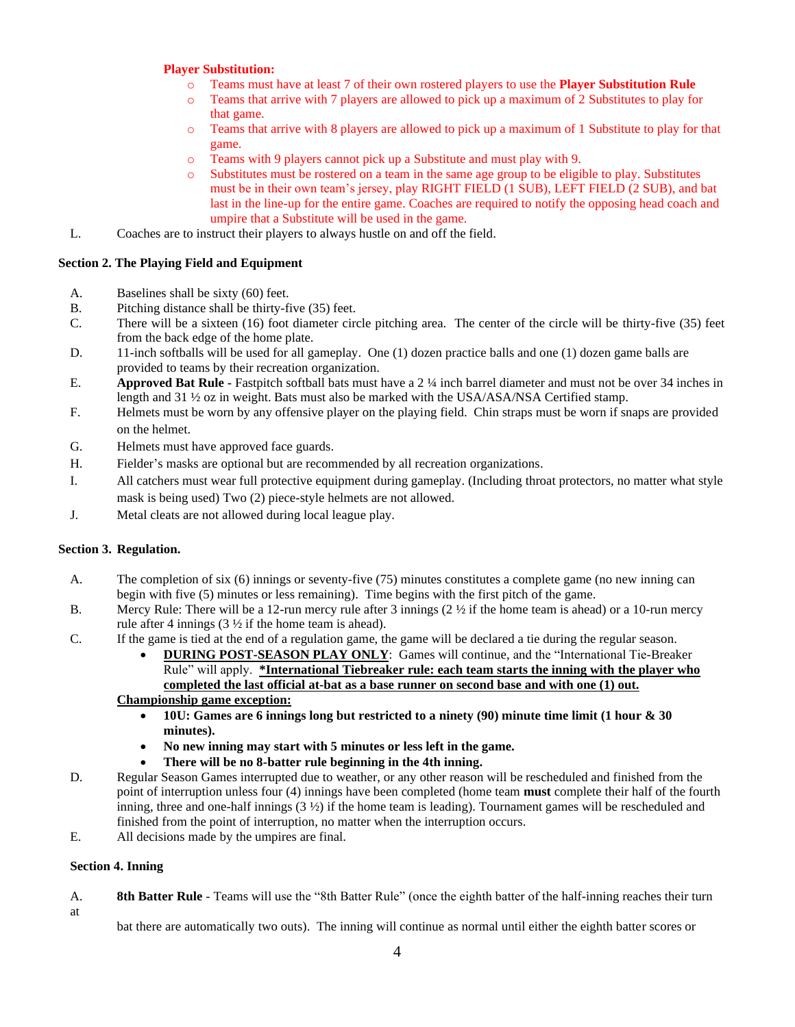### **Player Substitution:**

- o Teams must have at least 7 of their own rostered players to use the **Player Substitution Rule**
- o Teams that arrive with 7 players are allowed to pick up a maximum of 2 Substitutes to play for that game.
- o Teams that arrive with 8 players are allowed to pick up a maximum of 1 Substitute to play for that game.
- o Teams with 9 players cannot pick up a Substitute and must play with 9.
- o Substitutes must be rostered on a team in the same age group to be eligible to play. Substitutes must be in their own team's jersey, play RIGHT FIELD (1 SUB), LEFT FIELD (2 SUB), and bat last in the line-up for the entire game. Coaches are required to notify the opposing head coach and umpire that a Substitute will be used in the game.
- L. Coaches are to instruct their players to always hustle on and off the field.

### **Section 2. The Playing Field and Equipment**

- A. Baselines shall be sixty (60) feet.
- B. Pitching distance shall be thirty-five (35) feet.
- C. There will be a sixteen (16) foot diameter circle pitching area. The center of the circle will be thirty-five (35) feet from the back edge of the home plate.
- D. 11-inch softballs will be used for all gameplay. One (1) dozen practice balls and one (1) dozen game balls are provided to teams by their recreation organization.
- E. **Approved Bat Rule -** Fastpitch softball bats must have a 2 ¼ inch barrel diameter and must not be over 34 inches in length and 31 ½ oz in weight. Bats must also be marked with the USA/ASA/NSA Certified stamp.
- F. Helmets must be worn by any offensive player on the playing field. Chin straps must be worn if snaps are provided on the helmet.
- G. Helmets must have approved face guards.
- H. Fielder's masks are optional but are recommended by all recreation organizations.
- I. All catchers must wear full protective equipment during gameplay. (Including throat protectors, no matter what style mask is being used) Two (2) piece-style helmets are not allowed.
- J. Metal cleats are not allowed during local league play.

### **Section 3. Regulation.**

- A. The completion of six (6) innings or seventy-five (75) minutes constitutes a complete game (no new inning can begin with five (5) minutes or less remaining). Time begins with the first pitch of the game.
- B. Mercy Rule: There will be a 12-run mercy rule after 3 innings  $(2 \frac{1}{2})$  if the home team is ahead) or a 10-run mercy rule after 4 innings  $(3 \frac{1}{2})$  if the home team is ahead).
- C. If the game is tied at the end of a regulation game, the game will be declared a tie during the regular season.
	- **DURING POST-SEASON PLAY ONLY**: Games will continue, and the "International Tie-Breaker Rule" will apply. **\*International Tiebreaker rule: each team starts the inning with the player who completed the last official at-bat as a base runner on second base and with one (1) out.**

### **Championship game exception:**

- **10U: Games are 6 innings long but restricted to a ninety (90) minute time limit (1 hour & 30 minutes).**
- **No new inning may start with 5 minutes or less left in the game.**
- **There will be no 8-batter rule beginning in the 4th inning.**
- D. Regular Season Games interrupted due to weather, or any other reason will be rescheduled and finished from the point of interruption unless four (4) innings have been completed (home team **must** complete their half of the fourth inning, three and one-half innings  $(3 \frac{1}{2})$  if the home team is leading). Tournament games will be rescheduled and finished from the point of interruption, no matter when the interruption occurs.
- E. All decisions made by the umpires are final.

#### **Section 4. Inning**

A. **8th Batter Rule** - Teams will use the "8th Batter Rule" (once the eighth batter of the half-inning reaches their turn at

bat there are automatically two outs). The inning will continue as normal until either the eighth batter scores or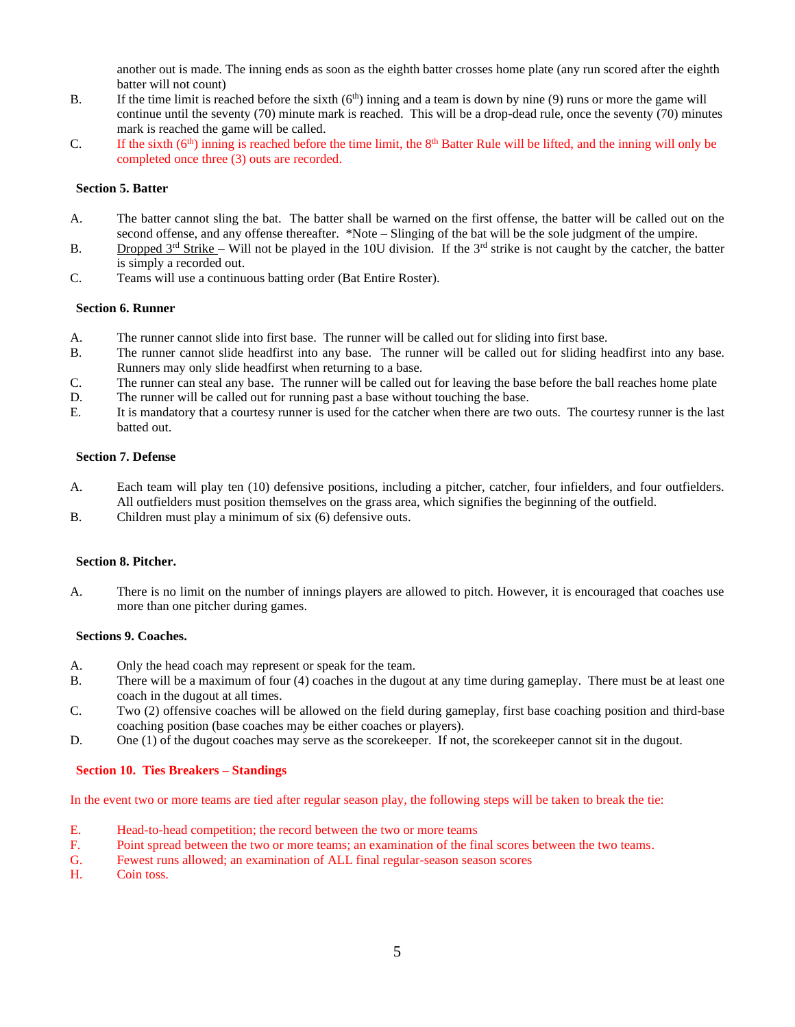another out is made. The inning ends as soon as the eighth batter crosses home plate (any run scored after the eighth batter will not count)

- B. If the time limit is reached before the sixth  $(6<sup>th</sup>)$  inning and a team is down by nine (9) runs or more the game will continue until the seventy (70) minute mark is reached. This will be a drop-dead rule, once the seventy (70) minutes mark is reached the game will be called.
- C. If the sixth  $(6<sup>th</sup>)$  inning is reached before the time limit, the  $8<sup>th</sup>$  Batter Rule will be lifted, and the inning will only be completed once three (3) outs are recorded.

#### **Section 5. Batter**

- A. The batter cannot sling the bat. The batter shall be warned on the first offense, the batter will be called out on the second offense, and any offense thereafter. \*Note – Slinging of the bat will be the sole judgment of the umpire.
- B. Dropped  $3<sup>rd</sup> Strike$  Will not be played in the 10U division. If the  $3<sup>rd</sup>$  strike is not caught by the catcher, the batter is simply a recorded out.
- C. Teams will use a continuous batting order (Bat Entire Roster).

#### **Section 6. Runner**

- A. The runner cannot slide into first base. The runner will be called out for sliding into first base.
- B. The runner cannot slide headfirst into any base. The runner will be called out for sliding headfirst into any base. Runners may only slide headfirst when returning to a base.
- C. The runner can steal any base. The runner will be called out for leaving the base before the ball reaches home plate
- D. The runner will be called out for running past a base without touching the base.
- E. It is mandatory that a courtesy runner is used for the catcher when there are two outs. The courtesy runner is the last batted out.

### **Section 7. Defense**

- A. Each team will play ten (10) defensive positions, including a pitcher, catcher, four infielders, and four outfielders. All outfielders must position themselves on the grass area, which signifies the beginning of the outfield.
- B. Children must play a minimum of six (6) defensive outs.

#### **Section 8. Pitcher.**

A. There is no limit on the number of innings players are allowed to pitch. However, it is encouraged that coaches use more than one pitcher during games.

#### **Sections 9. Coaches.**

- A. Only the head coach may represent or speak for the team.
- B. There will be a maximum of four (4) coaches in the dugout at any time during gameplay. There must be at least one coach in the dugout at all times.
- C. Two (2) offensive coaches will be allowed on the field during gameplay, first base coaching position and third-base coaching position (base coaches may be either coaches or players).
- D. One (1) of the dugout coaches may serve as the scorekeeper. If not, the scorekeeper cannot sit in the dugout.

### **Section 10. Ties Breakers – Standings**

In the event two or more teams are tied after regular season play, the following steps will be taken to break the tie:

- E. Head-to-head competition; the record between the two or more teams
- F. Point spread between the two or more teams; an examination of the final scores between the two teams.
- G. Fewest runs allowed; an examination of ALL final regular-season season scores
- H. Coin toss.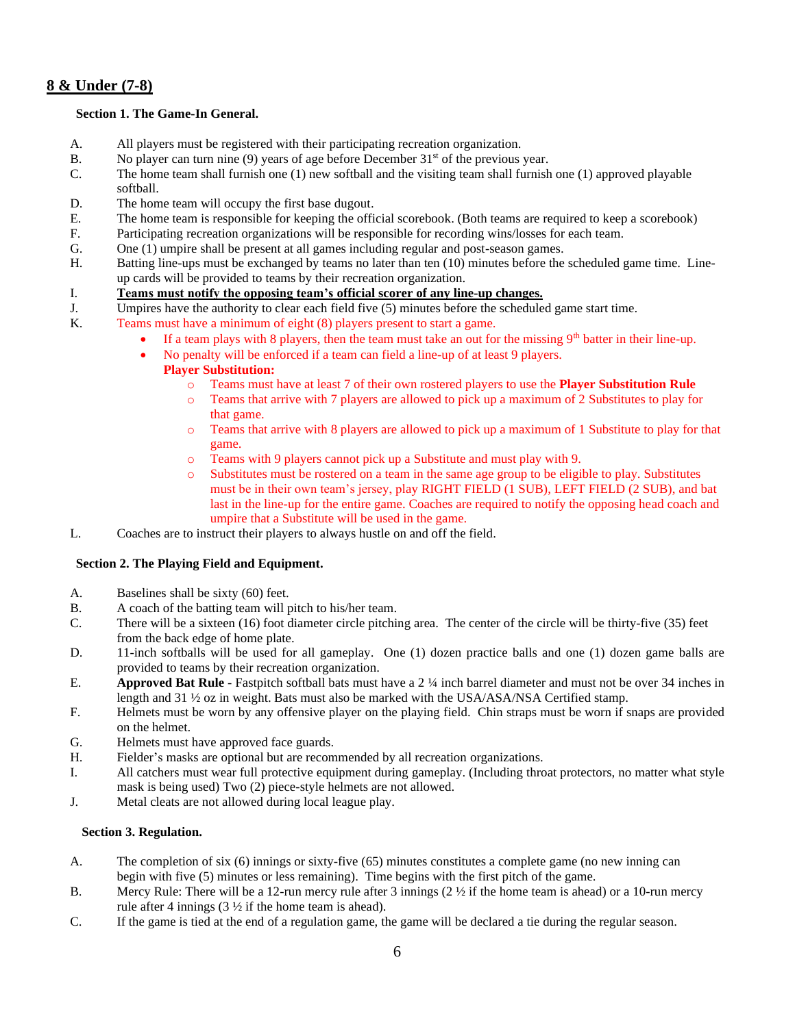## **8 & Under (7-8)**

### **Section 1. The Game-In General.**

- A. All players must be registered with their participating recreation organization.
- B. No player can turn nine (9) years of age before December  $31<sup>st</sup>$  of the previous year.
- C. The home team shall furnish one (1) new softball and the visiting team shall furnish one (1) approved playable softball.
- D. The home team will occupy the first base dugout.
- E. The home team is responsible for keeping the official scorebook. (Both teams are required to keep a scorebook)
- F. Participating recreation organizations will be responsible for recording wins/losses for each team.
- G. One (1) umpire shall be present at all games including regular and post-season games.
- H. Batting line-ups must be exchanged by teams no later than ten (10) minutes before the scheduled game time. Lineup cards will be provided to teams by their recreation organization.
- I. **Teams must notify the opposing team's official scorer of any line-up changes.**
- J. Umpires have the authority to clear each field five (5) minutes before the scheduled game start time.
- K. Teams must have a minimum of eight (8) players present to start a game.
	- If a team plays with 8 players, then the team must take an out for the missing  $9<sup>th</sup>$  batter in their line-up.
		- No penalty will be enforced if a team can field a line-up of at least 9 players.
			- **Player Substitution:**
				- o Teams must have at least 7 of their own rostered players to use the **Player Substitution Rule**
				- o Teams that arrive with 7 players are allowed to pick up a maximum of 2 Substitutes to play for that game.
				- o Teams that arrive with 8 players are allowed to pick up a maximum of 1 Substitute to play for that game.
				- o Teams with 9 players cannot pick up a Substitute and must play with 9.
				- o Substitutes must be rostered on a team in the same age group to be eligible to play. Substitutes must be in their own team's jersey, play RIGHT FIELD (1 SUB), LEFT FIELD (2 SUB), and bat last in the line-up for the entire game. Coaches are required to notify the opposing head coach and umpire that a Substitute will be used in the game.
- L. Coaches are to instruct their players to always hustle on and off the field.

### **Section 2. The Playing Field and Equipment.**

- A. Baselines shall be sixty (60) feet.
- B. A coach of the batting team will pitch to his/her team.
- C. There will be a sixteen (16) foot diameter circle pitching area. The center of the circle will be thirty-five (35) feet from the back edge of home plate.
- D. 11-inch softballs will be used for all gameplay. One (1) dozen practice balls and one (1) dozen game balls are provided to teams by their recreation organization.
- E. **Approved Bat Rule** Fastpitch softball bats must have a 2 ¼ inch barrel diameter and must not be over 34 inches in length and 31 ½ oz in weight. Bats must also be marked with the USA/ASA/NSA Certified stamp.
- F. Helmets must be worn by any offensive player on the playing field. Chin straps must be worn if snaps are provided on the helmet.
- G. Helmets must have approved face guards.
- H. Fielder's masks are optional but are recommended by all recreation organizations.
- I. All catchers must wear full protective equipment during gameplay. (Including throat protectors, no matter what style mask is being used) Two (2) piece-style helmets are not allowed.
- J. Metal cleats are not allowed during local league play.

### **Section 3. Regulation.**

- A. The completion of six (6) innings or sixty-five (65) minutes constitutes a complete game (no new inning can begin with five (5) minutes or less remaining). Time begins with the first pitch of the game.
- B. Mercy Rule: There will be a 12-run mercy rule after 3 innings  $(2 \frac{1}{2})$  if the home team is ahead) or a 10-run mercy rule after 4 innings (3 ½ if the home team is ahead).
- C. If the game is tied at the end of a regulation game, the game will be declared a tie during the regular season.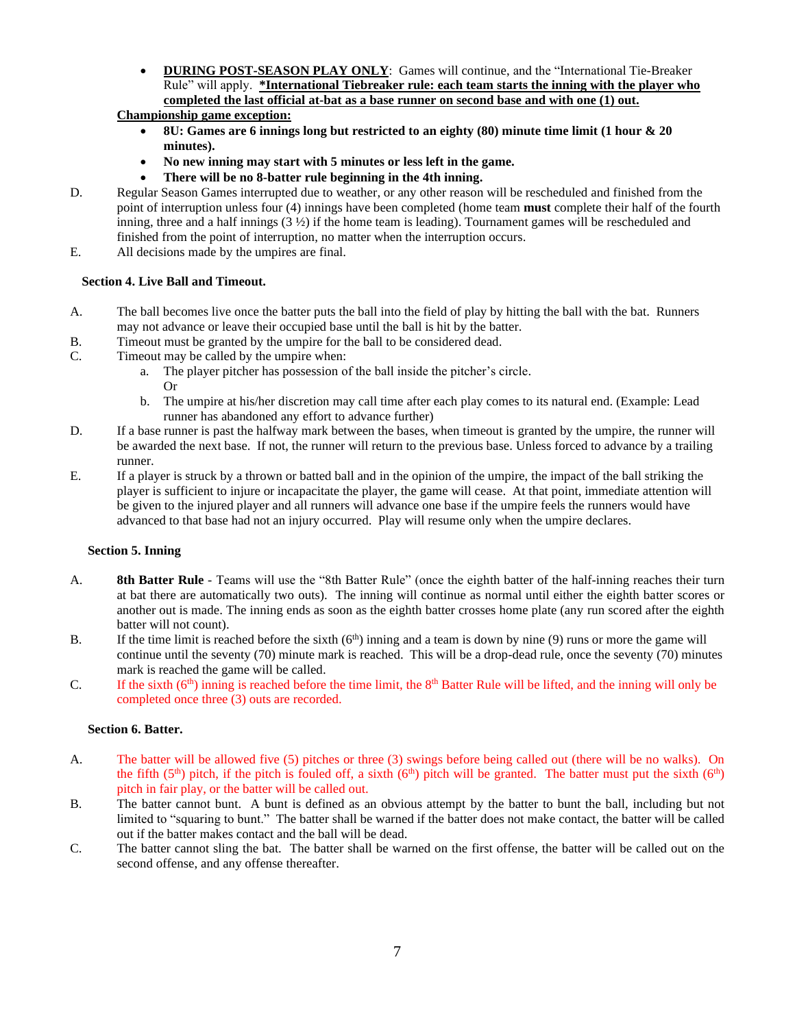• **DURING POST-SEASON PLAY ONLY**: Games will continue, and the "International Tie-Breaker Rule" will apply. **\*International Tiebreaker rule: each team starts the inning with the player who completed the last official at-bat as a base runner on second base and with one (1) out.**

## **Championship game exception:**

- **8U: Games are 6 innings long but restricted to an eighty (80) minute time limit (1 hour & 20 minutes).**
- **No new inning may start with 5 minutes or less left in the game.**
- **There will be no 8-batter rule beginning in the 4th inning.**
- D. Regular Season Games interrupted due to weather, or any other reason will be rescheduled and finished from the point of interruption unless four (4) innings have been completed (home team **must** complete their half of the fourth inning, three and a half innings  $(3 \frac{1}{2})$  if the home team is leading). Tournament games will be rescheduled and finished from the point of interruption, no matter when the interruption occurs.
- E. All decisions made by the umpires are final.

### **Section 4. Live Ball and Timeout.**

- A. The ball becomes live once the batter puts the ball into the field of play by hitting the ball with the bat. Runners may not advance or leave their occupied base until the ball is hit by the batter.
- B. Timeout must be granted by the umpire for the ball to be considered dead.
- C. Timeout may be called by the umpire when:
	- a. The player pitcher has possession of the ball inside the pitcher's circle. Or
	- b. The umpire at his/her discretion may call time after each play comes to its natural end. (Example: Lead runner has abandoned any effort to advance further)
- D. If a base runner is past the halfway mark between the bases, when timeout is granted by the umpire, the runner will be awarded the next base. If not, the runner will return to the previous base. Unless forced to advance by a trailing runner.
- E. If a player is struck by a thrown or batted ball and in the opinion of the umpire, the impact of the ball striking the player is sufficient to injure or incapacitate the player, the game will cease. At that point, immediate attention will be given to the injured player and all runners will advance one base if the umpire feels the runners would have advanced to that base had not an injury occurred. Play will resume only when the umpire declares.

### **Section 5. Inning**

- A. **8th Batter Rule** Teams will use the "8th Batter Rule" (once the eighth batter of the half-inning reaches their turn at bat there are automatically two outs). The inning will continue as normal until either the eighth batter scores or another out is made. The inning ends as soon as the eighth batter crosses home plate (any run scored after the eighth batter will not count).
- B. If the time limit is reached before the sixth  $(6<sup>th</sup>)$  inning and a team is down by nine (9) runs or more the game will continue until the seventy (70) minute mark is reached. This will be a drop-dead rule, once the seventy (70) minutes mark is reached the game will be called.
- C. If the sixth  $(6<sup>th</sup>)$  inning is reached before the time limit, the  $8<sup>th</sup>$  Batter Rule will be lifted, and the inning will only be completed once three (3) outs are recorded.

### **Section 6. Batter.**

- A. The batter will be allowed five (5) pitches or three (3) swings before being called out (there will be no walks). On the fifth  $(5<sup>th</sup>)$  pitch, if the pitch is fouled off, a sixth  $(6<sup>th</sup>)$  pitch will be granted. The batter must put the sixth  $(6<sup>th</sup>)$ pitch in fair play, or the batter will be called out.
- B. The batter cannot bunt. A bunt is defined as an obvious attempt by the batter to bunt the ball, including but not limited to "squaring to bunt." The batter shall be warned if the batter does not make contact, the batter will be called out if the batter makes contact and the ball will be dead.
- C. The batter cannot sling the bat. The batter shall be warned on the first offense, the batter will be called out on the second offense, and any offense thereafter.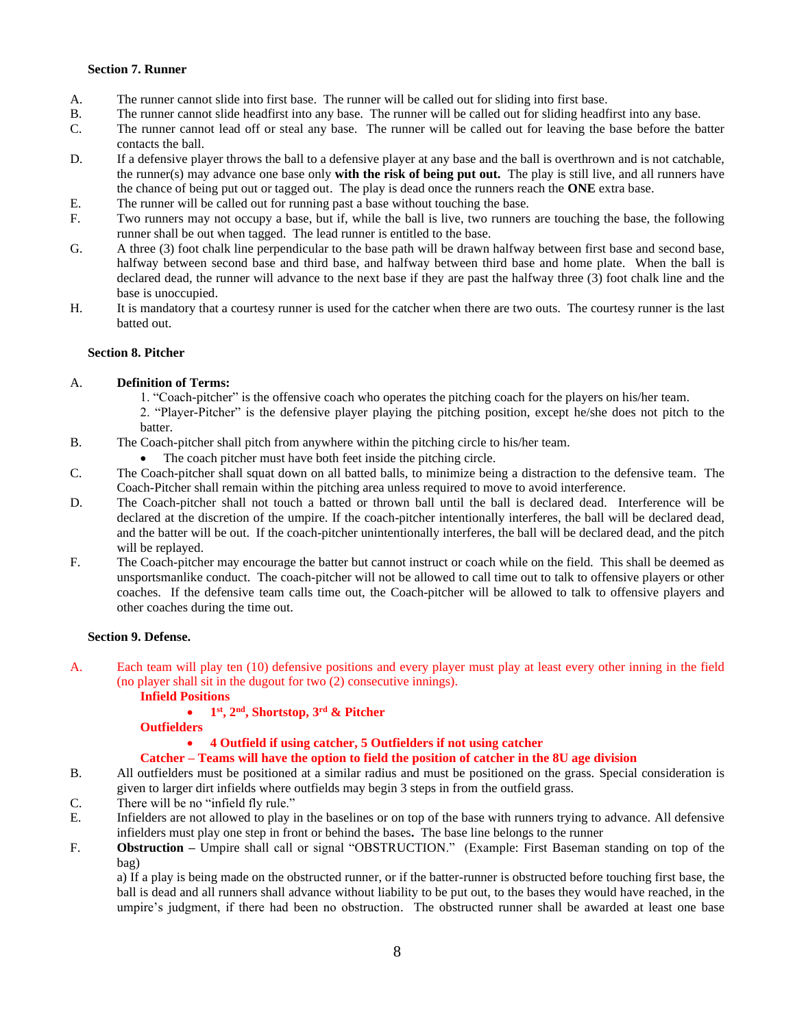#### **Section 7. Runner**

- A. The runner cannot slide into first base. The runner will be called out for sliding into first base.
- B. The runner cannot slide headfirst into any base. The runner will be called out for sliding headfirst into any base.
- C. The runner cannot lead off or steal any base. The runner will be called out for leaving the base before the batter contacts the ball.
- D. If a defensive player throws the ball to a defensive player at any base and the ball is overthrown and is not catchable, the runner(s) may advance one base only **with the risk of being put out.** The play is still live, and all runners have the chance of being put out or tagged out. The play is dead once the runners reach the **ONE** extra base.
- E. The runner will be called out for running past a base without touching the base.
- F. Two runners may not occupy a base, but if, while the ball is live, two runners are touching the base, the following runner shall be out when tagged. The lead runner is entitled to the base.
- G. A three (3) foot chalk line perpendicular to the base path will be drawn halfway between first base and second base, halfway between second base and third base, and halfway between third base and home plate. When the ball is declared dead, the runner will advance to the next base if they are past the halfway three (3) foot chalk line and the base is unoccupied.
- H. It is mandatory that a courtesy runner is used for the catcher when there are two outs. The courtesy runner is the last batted out.

#### **Section 8. Pitcher**

#### A. **Definition of Terms:**

- 1. "Coach-pitcher" is the offensive coach who operates the pitching coach for the players on his/her team.
- 2. "Player-Pitcher" is the defensive player playing the pitching position, except he/she does not pitch to the batter.
- B. The Coach-pitcher shall pitch from anywhere within the pitching circle to his/her team.
	- The coach pitcher must have both feet inside the pitching circle.
- C. The Coach-pitcher shall squat down on all batted balls, to minimize being a distraction to the defensive team. The Coach-Pitcher shall remain within the pitching area unless required to move to avoid interference.
- D. The Coach-pitcher shall not touch a batted or thrown ball until the ball is declared dead. Interference will be declared at the discretion of the umpire. If the coach-pitcher intentionally interferes, the ball will be declared dead, and the batter will be out. If the coach-pitcher unintentionally interferes, the ball will be declared dead, and the pitch will be replayed.
- F. The Coach-pitcher may encourage the batter but cannot instruct or coach while on the field. This shall be deemed as unsportsmanlike conduct. The coach-pitcher will not be allowed to call time out to talk to offensive players or other coaches. If the defensive team calls time out, the Coach-pitcher will be allowed to talk to offensive players and other coaches during the time out.

#### **Section 9. Defense.**

- A. Each team will play ten (10) defensive positions and every player must play at least every other inning in the field (no player shall sit in the dugout for two (2) consecutive innings).
	- **Infield Positions**

### • **1 st, 2nd, Shortstop, 3rd & Pitcher**

**Outfielders**

### • **4 Outfield if using catcher, 5 Outfielders if not using catcher**

#### **Catcher – Teams will have the option to field the position of catcher in the 8U age division**

- B. All outfielders must be positioned at a similar radius and must be positioned on the grass. Special consideration is given to larger dirt infields where outfields may begin 3 steps in from the outfield grass.
- C. There will be no "infield fly rule."
- E. Infielders are not allowed to play in the baselines or on top of the base with runners trying to advance. All defensive infielders must play one step in front or behind the bases**.** The base line belongs to the runner
- F. **Obstruction –** Umpire shall call or signal "OBSTRUCTION." (Example: First Baseman standing on top of the bag)

a) If a play is being made on the obstructed runner, or if the batter-runner is obstructed before touching first base, the ball is dead and all runners shall advance without liability to be put out, to the bases they would have reached, in the umpire's judgment, if there had been no obstruction. The obstructed runner shall be awarded at least one base